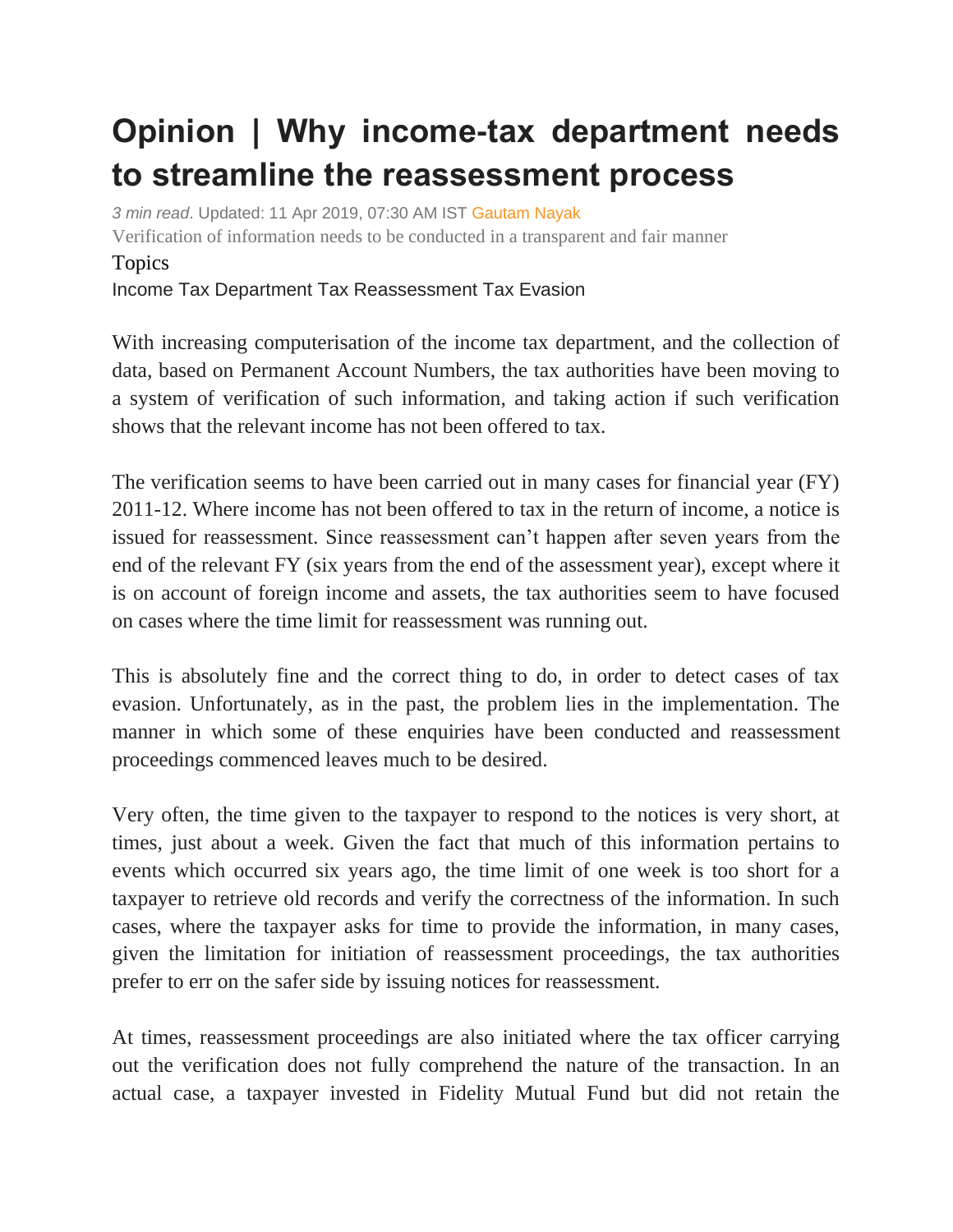## **Opinion | Why income-tax department needs to streamline the reassessment process**

*3 min read*. Updated: 11 Apr 2019, 07:30 AM IST [Gautam Nayak](https://www.livemint.com/Search/Link/Author/Gautam%20Nayak) Verification of information needs to be conducted in a transparent and fair manner Topics Income Tax [Department](https://www.livemint.com/topic/income-tax-department) [Tax Reassessment](https://www.livemint.com/topic/tax-reassessment) [Tax Evasion](https://www.livemint.com/topic/tax-evasion)

With increasing computerisation of the income tax department, and the collection of data, based on Permanent Account Numbers, the tax authorities have been moving to a system of verification of such information, and taking action if such verification shows that the relevant income has not been offered to tax.

The verification seems to have been carried out in many cases for financial year (FY) 2011-12. Where income has not been offered to tax in the return of income, a notice is issued for reassessment. Since reassessment can't happen after seven years from the end of the relevant FY (six years from the end of the assessment year), except where it is on account of foreign income and assets, the tax authorities seem to have focused on cases where the time limit for reassessment was running out.

This is absolutely fine and the correct thing to do, in order to detect cases of tax evasion. Unfortunately, as in the past, the problem lies in the implementation. The manner in which some of these enquiries have been conducted and reassessment proceedings commenced leaves much to be desired.

Very often, the time given to the taxpayer to respond to the notices is very short, at times, just about a week. Given the fact that much of this information pertains to events which occurred six years ago, the time limit of one week is too short for a taxpayer to retrieve old records and verify the correctness of the information. In such cases, where the taxpayer asks for time to provide the information, in many cases, given the limitation for initiation of reassessment proceedings, the tax authorities prefer to err on the safer side by issuing notices for reassessment.

At times, reassessment proceedings are also initiated where the tax officer carrying out the verification does not fully comprehend the nature of the transaction. In an actual case, a taxpayer invested in Fidelity Mutual Fund but did not retain the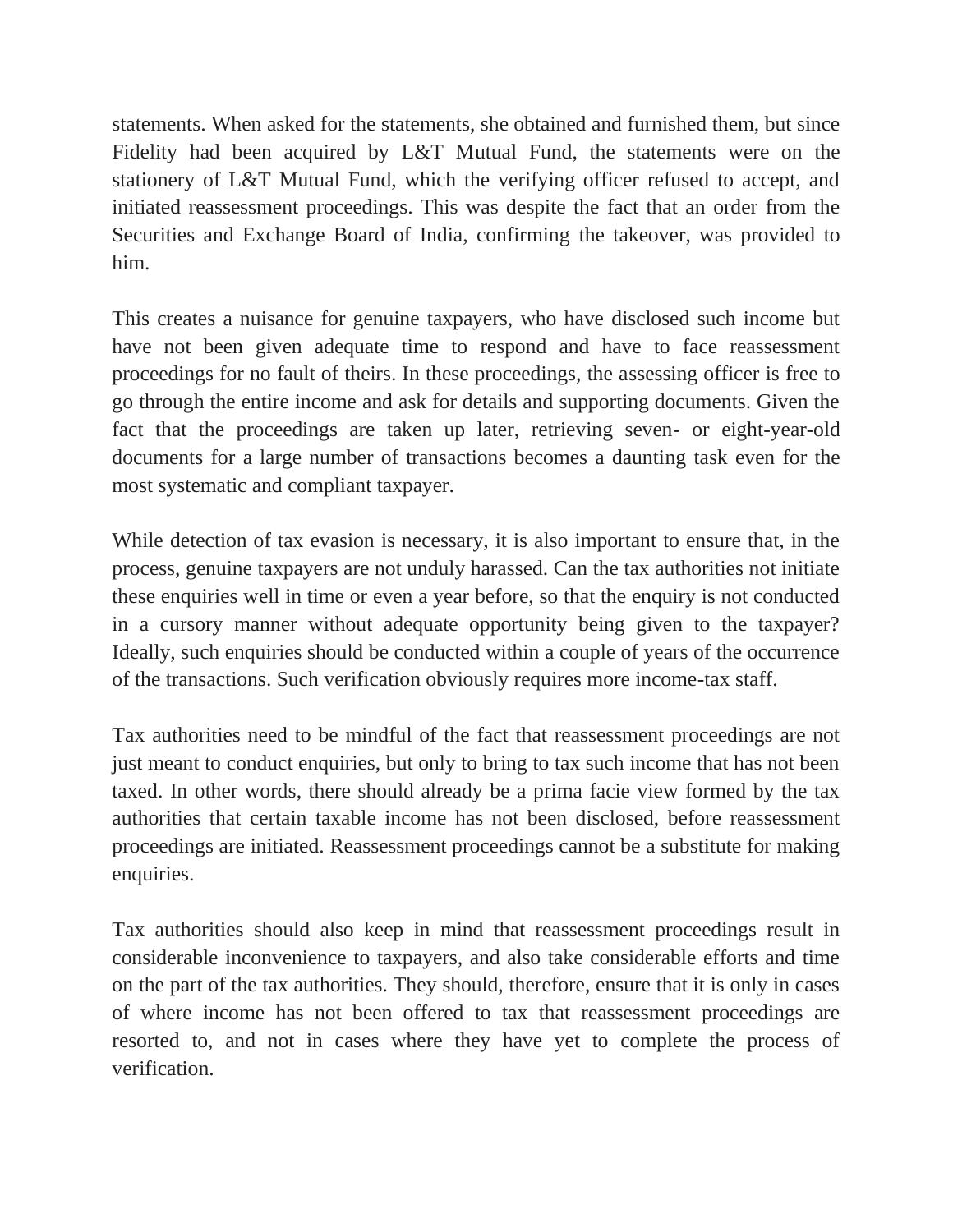statements. When asked for the statements, she obtained and furnished them, but since Fidelity had been acquired by L&T Mutual Fund, the statements were on the stationery of L&T Mutual Fund, which the verifying officer refused to accept, and initiated reassessment proceedings. This was despite the fact that an order from the Securities and Exchange Board of India, confirming the takeover, was provided to him.

This creates a nuisance for genuine taxpayers, who have disclosed such income but have not been given adequate time to respond and have to face reassessment proceedings for no fault of theirs. In these proceedings, the assessing officer is free to go through the entire income and ask for details and supporting documents. Given the fact that the proceedings are taken up later, retrieving seven- or eight-year-old documents for a large number of transactions becomes a daunting task even for the most systematic and compliant taxpayer.

While detection of tax evasion is necessary, it is also important to ensure that, in the process, genuine taxpayers are not unduly harassed. Can the tax authorities not initiate these enquiries well in time or even a year before, so that the enquiry is not conducted in a cursory manner without adequate opportunity being given to the taxpayer? Ideally, such enquiries should be conducted within a couple of years of the occurrence of the transactions. Such verification obviously requires more income-tax staff.

Tax authorities need to be mindful of the fact that reassessment proceedings are not just meant to conduct enquiries, but only to bring to tax such income that has not been taxed. In other words, there should already be a prima facie view formed by the tax authorities that certain taxable income has not been disclosed, before reassessment proceedings are initiated. Reassessment proceedings cannot be a substitute for making enquiries.

Tax authorities should also keep in mind that reassessment proceedings result in considerable inconvenience to taxpayers, and also take considerable efforts and time on the part of the tax authorities. They should, therefore, ensure that it is only in cases of where income has not been offered to tax that reassessment proceedings are resorted to, and not in cases where they have yet to complete the process of verification.